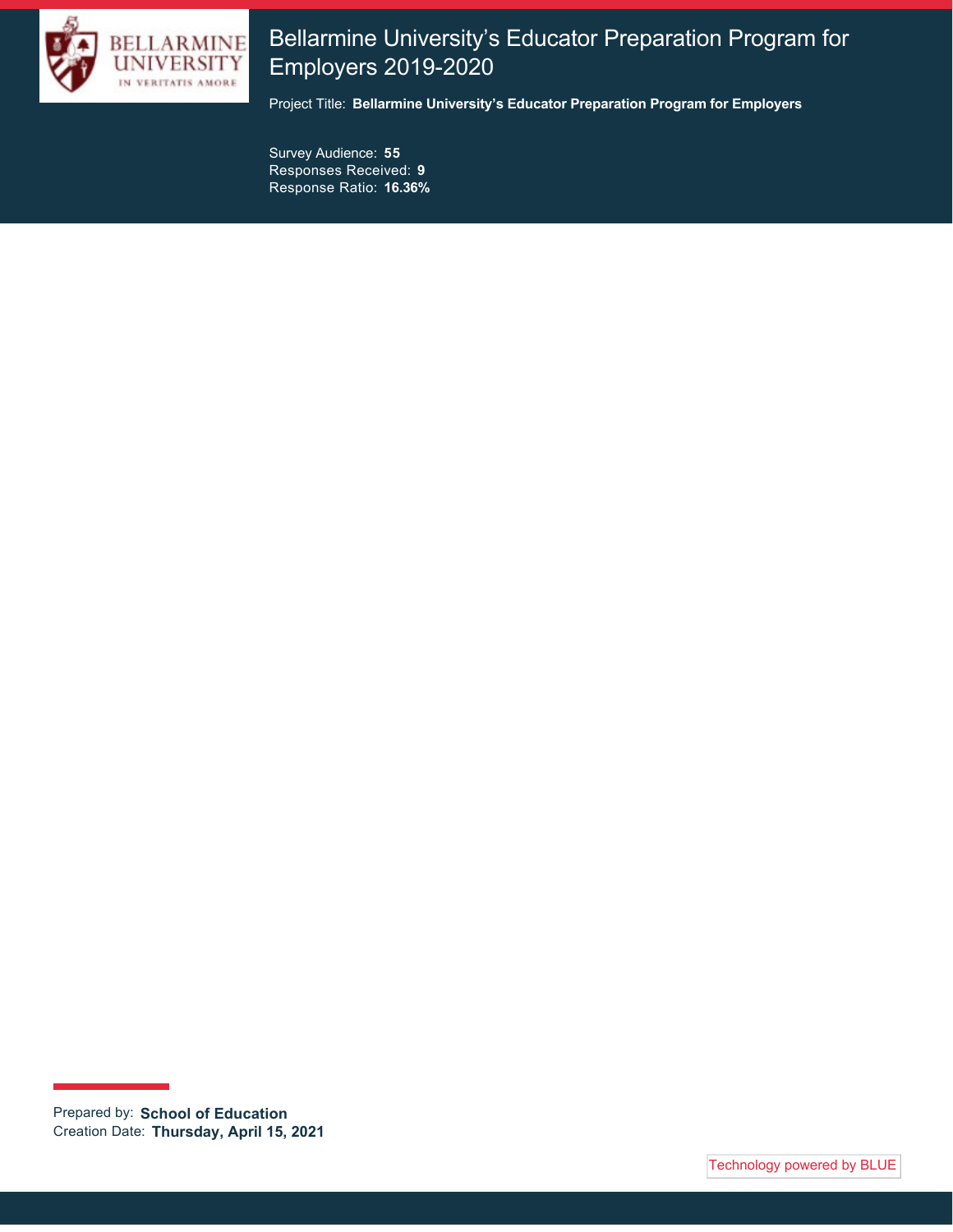

# Bellarmine University's Educator Preparation Program for Employers 2019-2020

Project Title: **Bellarmine University's Educator Preparation Program for Employers**

Survey Audience: **55** Responses Received: **9** Response Ratio: **16.36%**

Prepared by: **School of Education** Creation Date: **Thursday, April 15, 2021**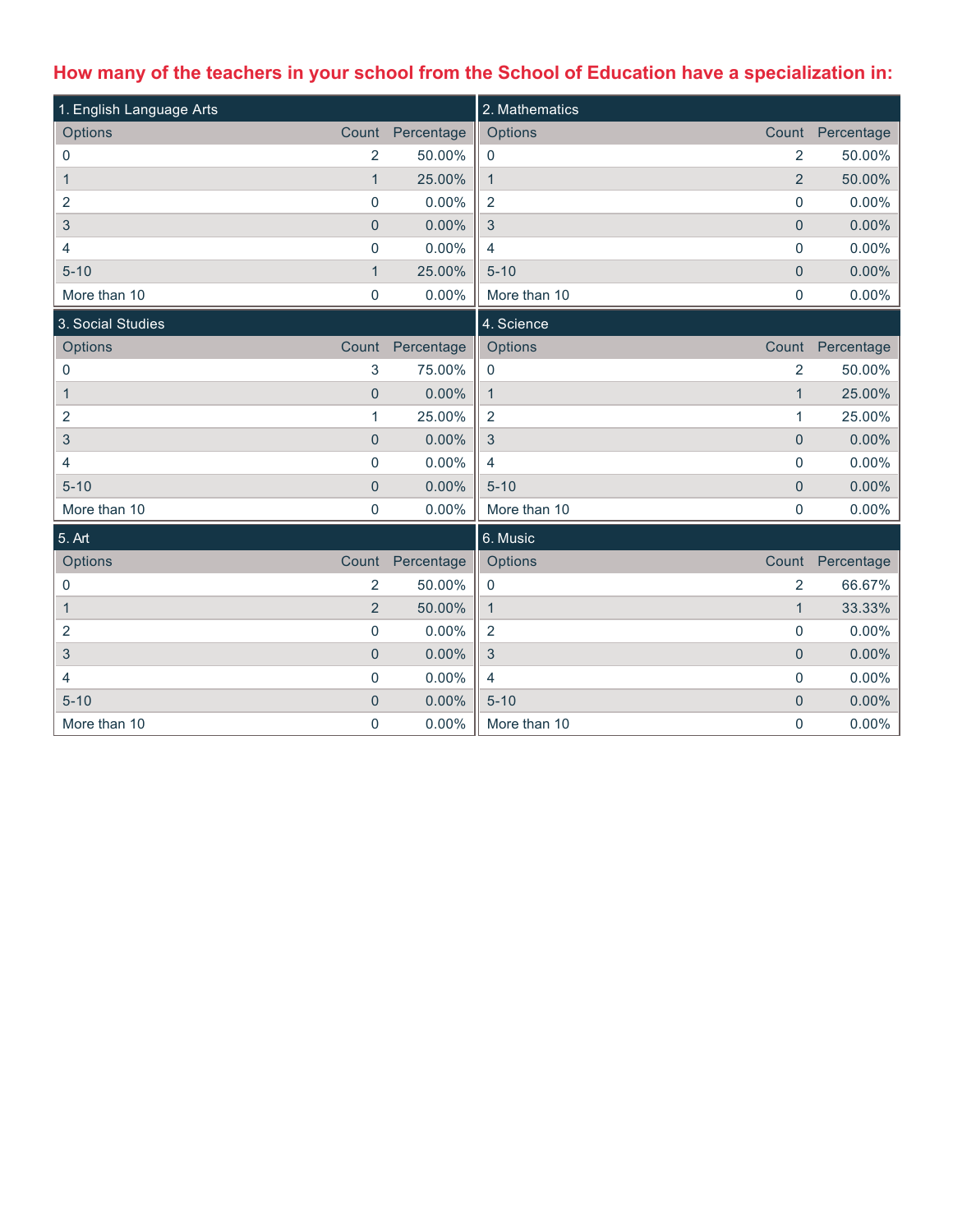# **How many of the teachers in your school from the School of Education have a specialization in:**

| 1. English Language Arts  |                |            | 2. Mathematics                 |                  |
|---------------------------|----------------|------------|--------------------------------|------------------|
| Options                   | Count          | Percentage | Options<br>Count               | Percentage       |
| 0                         | 2              | 50.00%     | 2<br>$\mathbf 0$               | 50.00%           |
| $\mathbf{1}$              | $\overline{1}$ | 25.00%     | $\overline{2}$<br>$\mathbf{1}$ | 50.00%           |
| 2                         | $\pmb{0}$      | 0.00%      | $\overline{2}$<br>0            | 0.00%            |
| $\ensuremath{\mathsf{3}}$ | $\overline{0}$ | 0.00%      | $\mathbf{3}$<br>$\mathbf 0$    | 0.00%            |
| 4                         | $\pmb{0}$      | 0.00%      | $\overline{4}$<br>0            | 0.00%            |
| $5 - 10$                  | $\mathbf{1}$   | 25.00%     | $5 - 10$<br>$\pmb{0}$          | 0.00%            |
| More than 10              | $\mathbf 0$    | 0.00%      | More than 10<br>0              | 0.00%            |
| 3. Social Studies         |                |            | 4. Science                     |                  |
| Options                   | Count          | Percentage | Options                        | Count Percentage |
| 0                         | 3              | 75.00%     | $\overline{2}$<br>0            | 50.00%           |
| 1                         | $\pmb{0}$      | 0.00%      | $\mathbf{1}$<br>$\mathbf{1}$   | 25.00%           |
| 2                         | 1              | 25.00%     | $\overline{2}$<br>$\mathbf{1}$ | 25.00%           |
| $\sqrt{3}$                | $\pmb{0}$      | 0.00%      | $\mathbf{3}$<br>$\overline{0}$ | 0.00%            |
| 4                         | $\pmb{0}$      | 0.00%      | 0<br>$\overline{4}$            | 0.00%            |
| $5 - 10$                  | $\mathbf 0$    | 0.00%      | $5 - 10$<br>$\pmb{0}$          | 0.00%            |
| More than 10              | $\pmb{0}$      | 0.00%      | More than 10<br>0              | 0.00%            |
| 5. Art                    |                |            | 6. Music                       |                  |
| Options                   | Count          | Percentage | Options<br>Count               | Percentage       |
| 0                         | $\overline{2}$ | 50.00%     | $\overline{2}$<br>$\pmb{0}$    | 66.67%           |
| $\mathbf{1}$              | $\overline{2}$ | 50.00%     | $\mathbf{1}$<br>$\mathbf{1}$   | 33.33%           |
| 2                         | $\pmb{0}$      | 0.00%      | $\overline{2}$<br>0            | 0.00%            |
| 3                         | $\overline{0}$ | 0.00%      | $\mathbf{3}$<br>$\overline{0}$ | 0.00%            |
| 4                         | $\pmb{0}$      | 0.00%      | $\overline{4}$<br>0            | 0.00%            |
| $5 - 10$                  | $\pmb{0}$      | 0.00%      | $5 - 10$<br>$\mathbf{0}$       | 0.00%            |
| More than 10              | $\mathbf 0$    | 0.00%      | 0<br>More than 10              | 0.00%            |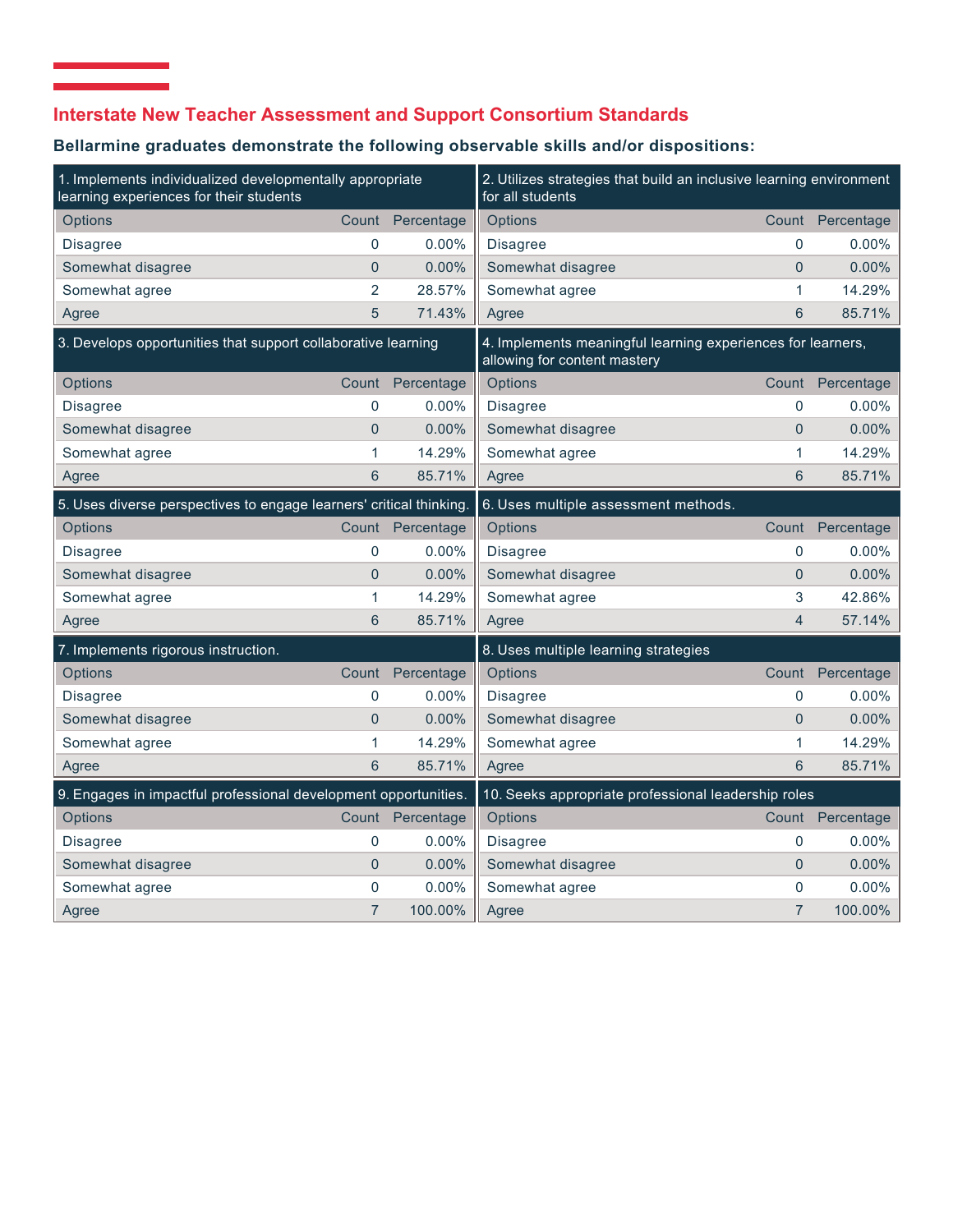# **Interstate New Teacher Assessment and Support Consortium Standards**

 $\mathcal{L}_{\mathcal{A}}$  and  $\mathcal{L}_{\mathcal{A}}$  are the set of the set of the set of  $\mathcal{A}$ 

## **Bellarmine graduates demonstrate the following observable skills and/or dispositions:**

| 1. Implements individualized developmentally appropriate<br>learning experiences for their students |                |                                                                                             | 2. Utilizes strategies that build an inclusive learning environment<br>for all students |                |                  |
|-----------------------------------------------------------------------------------------------------|----------------|---------------------------------------------------------------------------------------------|-----------------------------------------------------------------------------------------|----------------|------------------|
| Options                                                                                             | Count          | Percentage                                                                                  | Options                                                                                 |                | Count Percentage |
| <b>Disagree</b>                                                                                     | 0              | $0.00\%$                                                                                    | <b>Disagree</b>                                                                         | 0              | $0.00\%$         |
| Somewhat disagree                                                                                   | $\overline{0}$ | 0.00%                                                                                       | Somewhat disagree                                                                       | $\overline{0}$ | $0.00\%$         |
| Somewhat agree                                                                                      | $\overline{2}$ | 28.57%                                                                                      | Somewhat agree                                                                          | 1              | 14.29%           |
| Agree                                                                                               | 5              | 71.43%                                                                                      | Agree                                                                                   | 6              | 85.71%           |
| 3. Develops opportunities that support collaborative learning                                       |                | 4. Implements meaningful learning experiences for learners,<br>allowing for content mastery |                                                                                         |                |                  |
| Options                                                                                             | Count          | Percentage                                                                                  | Options                                                                                 |                | Count Percentage |
| <b>Disagree</b>                                                                                     | 0              | $0.00\%$                                                                                    | <b>Disagree</b>                                                                         | 0              | $0.00\%$         |
| Somewhat disagree                                                                                   | $\overline{0}$ | 0.00%                                                                                       | Somewhat disagree                                                                       | $\overline{0}$ | 0.00%            |
| Somewhat agree                                                                                      | 1              | 14.29%                                                                                      | Somewhat agree                                                                          | 1              | 14.29%           |
| Agree                                                                                               | 6              | 85.71%                                                                                      | Agree                                                                                   | 6              | 85.71%           |
| 5. Uses diverse perspectives to engage learners' critical thinking.                                 |                |                                                                                             | 6. Uses multiple assessment methods.                                                    |                |                  |
| Options                                                                                             | Count          | Percentage                                                                                  | Options                                                                                 | Count          | Percentage       |
| <b>Disagree</b>                                                                                     | 0              | $0.00\%$                                                                                    | <b>Disagree</b>                                                                         | 0              | $0.00\%$         |
| Somewhat disagree                                                                                   | $\overline{0}$ | 0.00%                                                                                       | Somewhat disagree                                                                       | $\overline{0}$ | 0.00%            |
| Somewhat agree                                                                                      | 1              | 14.29%                                                                                      | Somewhat agree                                                                          | 3              | 42.86%           |
| Agree                                                                                               | 6              | 85.71%                                                                                      | Agree                                                                                   | $\overline{4}$ | 57.14%           |
| 7. Implements rigorous instruction.                                                                 |                |                                                                                             | 8. Uses multiple learning strategies                                                    |                |                  |
| Options                                                                                             | Count          | Percentage                                                                                  | Options                                                                                 | Count          | Percentage       |
| Disagree                                                                                            | 0              | 0.00%                                                                                       | <b>Disagree</b>                                                                         | 0              | 0.00%            |
| Somewhat disagree                                                                                   | $\overline{0}$ | $0.00\%$                                                                                    | Somewhat disagree                                                                       | $\Omega$       | 0.00%            |
| Somewhat agree                                                                                      | 1              | 14.29%                                                                                      | Somewhat agree                                                                          | 1              | 14.29%           |
| Agree                                                                                               | 6              | 85.71%                                                                                      | Agree                                                                                   | 6              | 85.71%           |
| 9. Engages in impactful professional development opportunities.                                     |                |                                                                                             | 10. Seeks appropriate professional leadership roles                                     |                |                  |
| Options                                                                                             | Count          | Percentage                                                                                  | Options                                                                                 |                | Count Percentage |
| <b>Disagree</b>                                                                                     | 0              | $0.00\%$                                                                                    | <b>Disagree</b>                                                                         | 0              | $0.00\%$         |
| Somewhat disagree                                                                                   | $\overline{0}$ | 0.00%                                                                                       | Somewhat disagree                                                                       | $\Omega$       | $0.00\%$         |
| Somewhat agree                                                                                      | $\mathbf 0$    | 0.00%                                                                                       | Somewhat agree                                                                          | 0              | 0.00%            |
| Agree                                                                                               | $\overline{7}$ | 100.00%                                                                                     | Agree                                                                                   | $\overline{7}$ | 100.00%          |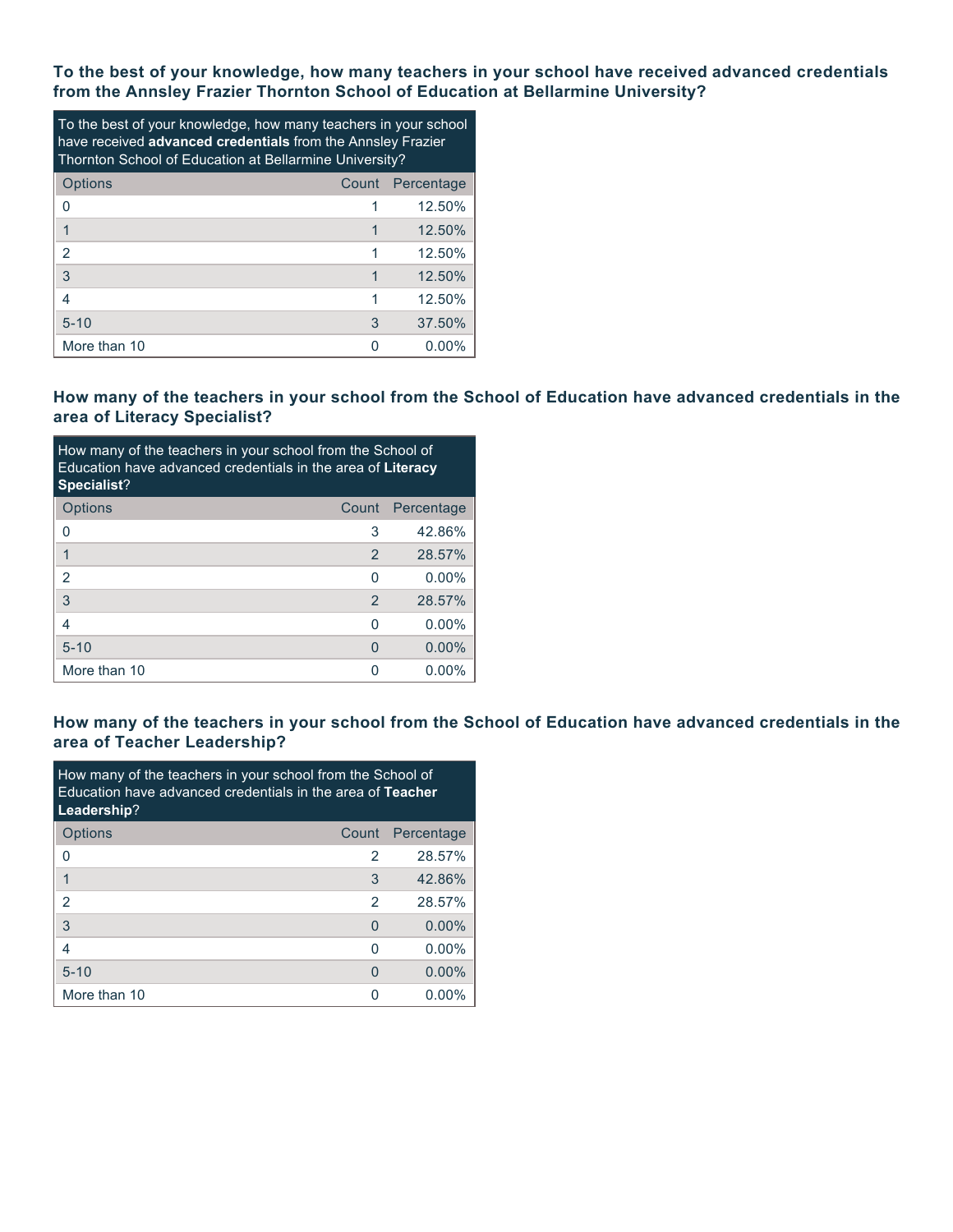**To the best of your knowledge, how many teachers in your school have received advanced credentials from the Annsley Frazier Thornton School of Education at Bellarmine University?**

| To the best of your knowledge, how many teachers in your school<br>have received advanced credentials from the Annsley Frazier<br>Thornton School of Education at Bellarmine University? |   |                  |  |  |  |
|------------------------------------------------------------------------------------------------------------------------------------------------------------------------------------------|---|------------------|--|--|--|
| Options                                                                                                                                                                                  |   | Count Percentage |  |  |  |
| O                                                                                                                                                                                        |   | 12.50%           |  |  |  |
|                                                                                                                                                                                          |   | 12.50%           |  |  |  |
| $\overline{2}$                                                                                                                                                                           |   | 12.50%           |  |  |  |
| 3                                                                                                                                                                                        |   | 12.50%           |  |  |  |
| 4                                                                                                                                                                                        |   | 12.50%           |  |  |  |
| $5 - 10$                                                                                                                                                                                 | 3 | 37.50%           |  |  |  |
| More than 10                                                                                                                                                                             |   | 0.00%            |  |  |  |

### **How many of the teachers in your school from the School of Education have advanced credentials in the area of Literacy Specialist?**

| How many of the teachers in your school from the School of<br>Education have advanced credentials in the area of Literacy<br>Specialist? |                |            |  |  |  |
|------------------------------------------------------------------------------------------------------------------------------------------|----------------|------------|--|--|--|
| <b>Options</b>                                                                                                                           | Count          | Percentage |  |  |  |
| 0                                                                                                                                        | 3              | 42.86%     |  |  |  |
| 1                                                                                                                                        | $\overline{2}$ | 28.57%     |  |  |  |
| $\overline{2}$                                                                                                                           | O              | $0.00\%$   |  |  |  |
| 3                                                                                                                                        | $\mathcal{P}$  | 28.57%     |  |  |  |
| 4                                                                                                                                        | ∩              | $0.00\%$   |  |  |  |
| $5 - 10$                                                                                                                                 | 0              | $0.00\%$   |  |  |  |
| More than 10                                                                                                                             |                | $0.00\%$   |  |  |  |

### **How many of the teachers in your school from the School of Education have advanced credentials in the area of Teacher Leadership?**

| How many of the teachers in your school from the School of<br><b>Education have advanced credentials in the area of Teacher</b><br>Leadership? |       |            |  |  |  |
|------------------------------------------------------------------------------------------------------------------------------------------------|-------|------------|--|--|--|
| Options                                                                                                                                        | Count | Percentage |  |  |  |
| 0                                                                                                                                              | 2     | 28.57%     |  |  |  |
|                                                                                                                                                | 3     | 42.86%     |  |  |  |
| 2                                                                                                                                              | 2     | 28.57%     |  |  |  |
| 3                                                                                                                                              | O     | $0.00\%$   |  |  |  |
| 4                                                                                                                                              | O     | $0.00\%$   |  |  |  |
| $5 - 10$                                                                                                                                       | O     | $0.00\%$   |  |  |  |
| More than 10                                                                                                                                   | O     | $0.00\%$   |  |  |  |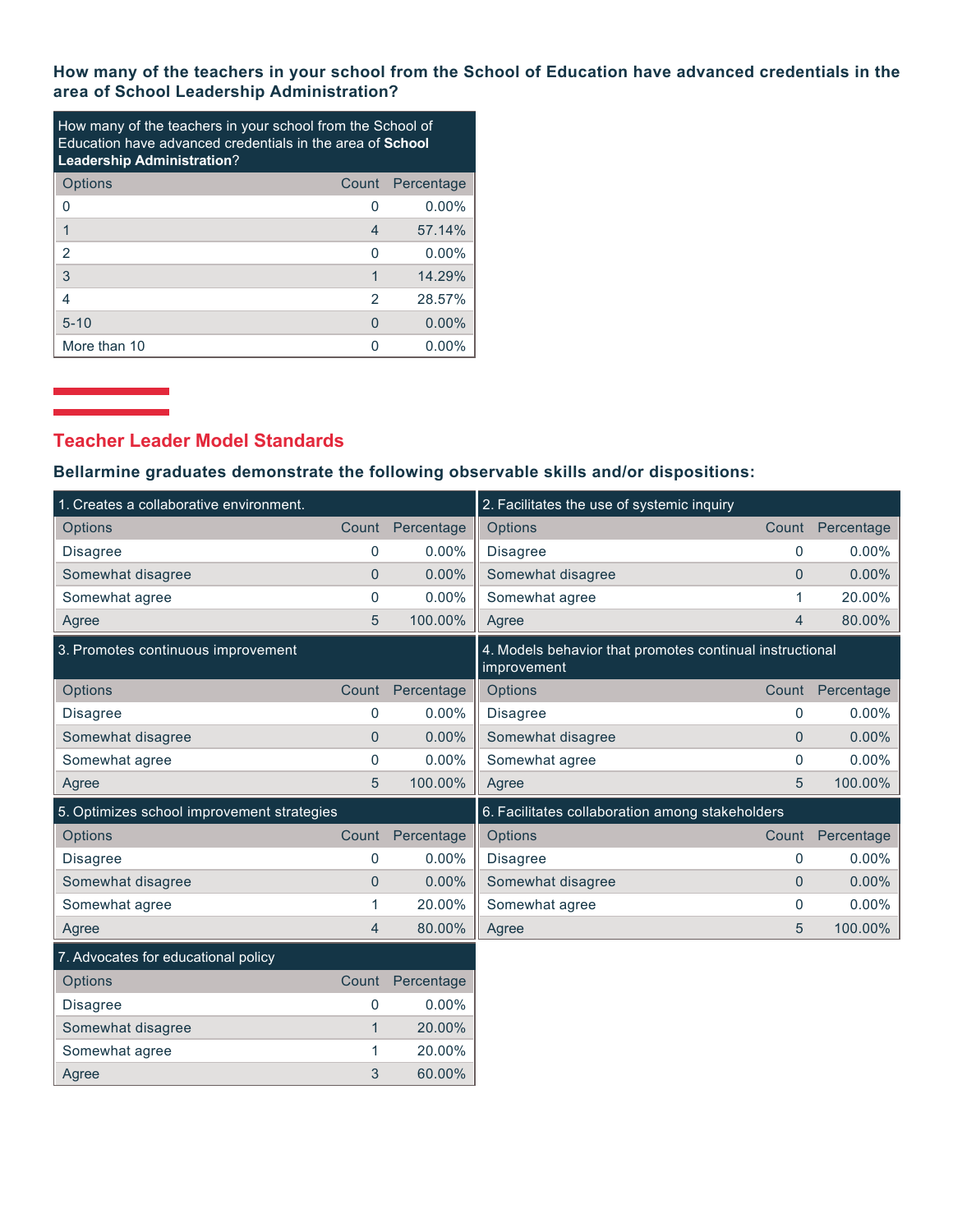**How many of the teachers in your school from the School of Education have advanced credentials in the area of School Leadership Administration?**

| How many of the teachers in your school from the School of<br>Education have advanced credentials in the area of <b>School</b><br><b>Leadership Administration?</b> |       |            |  |  |  |
|---------------------------------------------------------------------------------------------------------------------------------------------------------------------|-------|------------|--|--|--|
| Options                                                                                                                                                             | Count | Percentage |  |  |  |
| 0                                                                                                                                                                   | O     | $0.00\%$   |  |  |  |
|                                                                                                                                                                     | 4     | 57.14%     |  |  |  |
| 2                                                                                                                                                                   | U     | $0.00\%$   |  |  |  |
| 3                                                                                                                                                                   | 1     | 14.29%     |  |  |  |
| 4                                                                                                                                                                   | 2     | 28.57%     |  |  |  |
| $5 - 10$                                                                                                                                                            | O     | $0.00\%$   |  |  |  |
| More than 10                                                                                                                                                        | n     | $0.00\%$   |  |  |  |

Agree 3 60.00%

## **Teacher Leader Model Standards**

### **Bellarmine graduates demonstrate the following observable skills and/or dispositions:**

| 1. Creates a collaborative environment.    |                |            | 2. Facilitates the use of systemic inquiry                              |                |            |
|--------------------------------------------|----------------|------------|-------------------------------------------------------------------------|----------------|------------|
| <b>Options</b>                             | Count          | Percentage | Options                                                                 | Count          | Percentage |
| <b>Disagree</b>                            | $\mathbf 0$    | $0.00\%$   | <b>Disagree</b>                                                         | $\mathbf{0}$   | 0.00%      |
| Somewhat disagree                          | $\mathbf{0}$   | 0.00%      | Somewhat disagree                                                       | $\Omega$       | 0.00%      |
| Somewhat agree                             | $\mathbf 0$    | 0.00%      | Somewhat agree                                                          | 1              | 20.00%     |
| Agree                                      | 5              | 100.00%    | Agree                                                                   | 4              | 80.00%     |
| 3. Promotes continuous improvement         |                |            | 4. Models behavior that promotes continual instructional<br>improvement |                |            |
| Options                                    | Count          | Percentage | Options                                                                 | Count          | Percentage |
| <b>Disagree</b>                            | 0              | $0.00\%$   | Disagree                                                                | 0              | 0.00%      |
| Somewhat disagree                          | $\pmb{0}$      | 0.00%      | Somewhat disagree                                                       | $\overline{0}$ | 0.00%      |
| Somewhat agree                             | $\mathbf 0$    | $0.00\%$   | Somewhat agree                                                          | $\mathbf{0}$   | 0.00%      |
| Agree                                      | 5              | 100.00%    | Agree                                                                   | 5              | 100.00%    |
| 5. Optimizes school improvement strategies |                |            | 6. Facilitates collaboration among stakeholders                         |                |            |
| Options                                    | Count          | Percentage | Options                                                                 | Count          | Percentage |
| <b>Disagree</b>                            | 0              | $0.00\%$   | <b>Disagree</b>                                                         | 0              | 0.00%      |
| Somewhat disagree                          | $\overline{0}$ | $0.00\%$   | Somewhat disagree                                                       | $\overline{0}$ | 0.00%      |
| Somewhat agree                             | 1              | 20.00%     | Somewhat agree                                                          | 0              | 0.00%      |
| Agree                                      | $\overline{4}$ | 80.00%     | Agree                                                                   | 5              | 100.00%    |
| 7. Advocates for educational policy        |                |            |                                                                         |                |            |
| Options                                    | Count          | Percentage |                                                                         |                |            |
| <b>Disagree</b>                            | $\mathbf 0$    | $0.00\%$   |                                                                         |                |            |
| Somewhat disagree                          | $\mathbf{1}$   | 20.00%     |                                                                         |                |            |
| Somewhat agree                             | 1              | 20.00%     |                                                                         |                |            |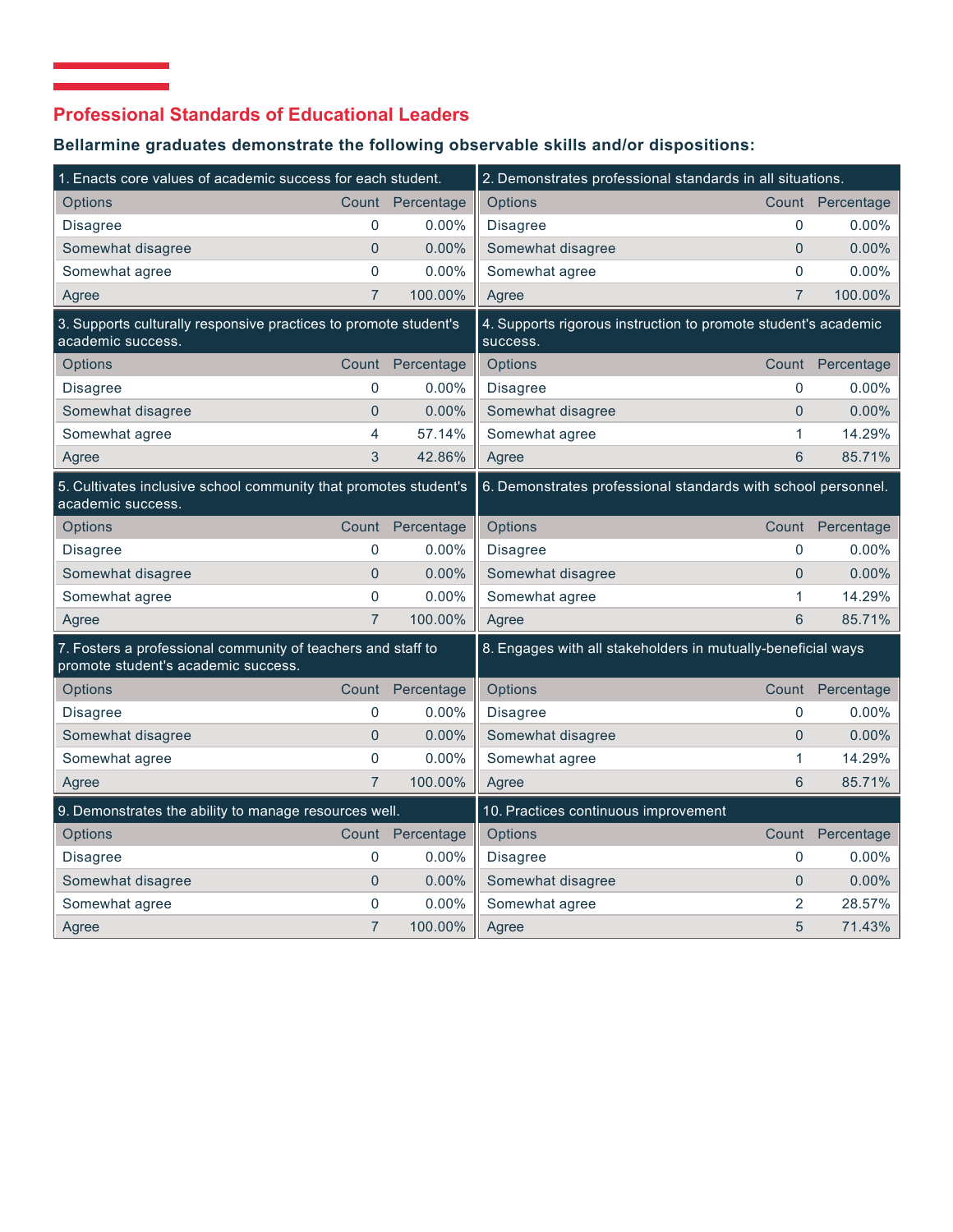# **Professional Standards of Educational Leaders**

# **Bellarmine graduates demonstrate the following observable skills and/or dispositions:**

| 1. Enacts core values of academic success for each student.                                         |                |                  | 2. Demonstrates professional standards in all situations.                  |                |                  |
|-----------------------------------------------------------------------------------------------------|----------------|------------------|----------------------------------------------------------------------------|----------------|------------------|
| <b>Options</b>                                                                                      |                | Count Percentage | Options                                                                    |                | Count Percentage |
| <b>Disagree</b>                                                                                     | $\mathbf 0$    | $0.00\%$         | Disagree                                                                   | $\mathbf{0}$   | 0.00%            |
| Somewhat disagree                                                                                   | $\Omega$       | 0.00%            | Somewhat disagree                                                          | $\overline{0}$ | 0.00%            |
| Somewhat agree                                                                                      | $\overline{0}$ | 0.00%            | Somewhat agree                                                             | $\overline{0}$ | 0.00%            |
| Agree                                                                                               | $\overline{7}$ | 100.00%          | Agree                                                                      | $\overline{7}$ | 100.00%          |
| 3. Supports culturally responsive practices to promote student's<br>academic success.               |                |                  | 4. Supports rigorous instruction to promote student's academic<br>success. |                |                  |
| Options                                                                                             | Count          | Percentage       | Options                                                                    |                | Count Percentage |
| <b>Disagree</b>                                                                                     | $\mathbf 0$    | $0.00\%$         | <b>Disagree</b>                                                            | $\mathbf 0$    | $0.00\%$         |
| Somewhat disagree                                                                                   | $\overline{0}$ | 0.00%            | Somewhat disagree                                                          | $\overline{0}$ | 0.00%            |
| Somewhat agree                                                                                      | 4              | 57.14%           | Somewhat agree                                                             | 1              | 14.29%           |
| Agree                                                                                               | 3              | 42.86%           | Agree                                                                      | 6              | 85.71%           |
| 5. Cultivates inclusive school community that promotes student's<br>academic success.               |                |                  | 6. Demonstrates professional standards with school personnel.              |                |                  |
| Options                                                                                             | Count          | Percentage       | Options                                                                    |                | Count Percentage |
| <b>Disagree</b>                                                                                     | 0              | 0.00%            | <b>Disagree</b>                                                            | $\mathbf{0}$   | 0.00%            |
| Somewhat disagree                                                                                   | $\overline{0}$ | 0.00%            | Somewhat disagree                                                          | $\overline{0}$ | 0.00%            |
| Somewhat agree                                                                                      | $\mathbf 0$    | 0.00%            | Somewhat agree                                                             | 1              | 14.29%           |
| Agree                                                                                               | $\overline{7}$ | 100.00%          | Agree                                                                      | $6\phantom{1}$ | 85.71%           |
| 7. Fosters a professional community of teachers and staff to<br>promote student's academic success. |                |                  | 8. Engages with all stakeholders in mutually-beneficial ways               |                |                  |
| Options                                                                                             |                | Count Percentage | Options                                                                    |                | Count Percentage |
| <b>Disagree</b>                                                                                     | 0              | 0.00%            | <b>Disagree</b>                                                            | $\mathbf{0}$   | 0.00%            |
| Somewhat disagree                                                                                   | $\overline{0}$ | 0.00%            | Somewhat disagree                                                          | $\Omega$       | 0.00%            |
| Somewhat agree                                                                                      | $\mathbf 0$    | 0.00%            | Somewhat agree                                                             | 1              | 14.29%           |
| Agree                                                                                               | $\overline{7}$ | 100.00%          | Agree                                                                      | 6              | 85.71%           |
| 9. Demonstrates the ability to manage resources well.                                               |                |                  | 10. Practices continuous improvement                                       |                |                  |
| Options                                                                                             | Count          | Percentage       | Options                                                                    | Count          | Percentage       |
| <b>Disagree</b>                                                                                     | 0              | $0.00\%$         | Disagree                                                                   | 0              | $0.00\%$         |
| Somewhat disagree                                                                                   | $\overline{0}$ | 0.00%            | Somewhat disagree                                                          | $\overline{0}$ | 0.00%            |
| Somewhat agree                                                                                      | 0              | 0.00%            | Somewhat agree                                                             | $\overline{2}$ | 28.57%           |
| Agree                                                                                               | $\overline{7}$ | 100.00%          | Agree                                                                      | 5              | 71.43%           |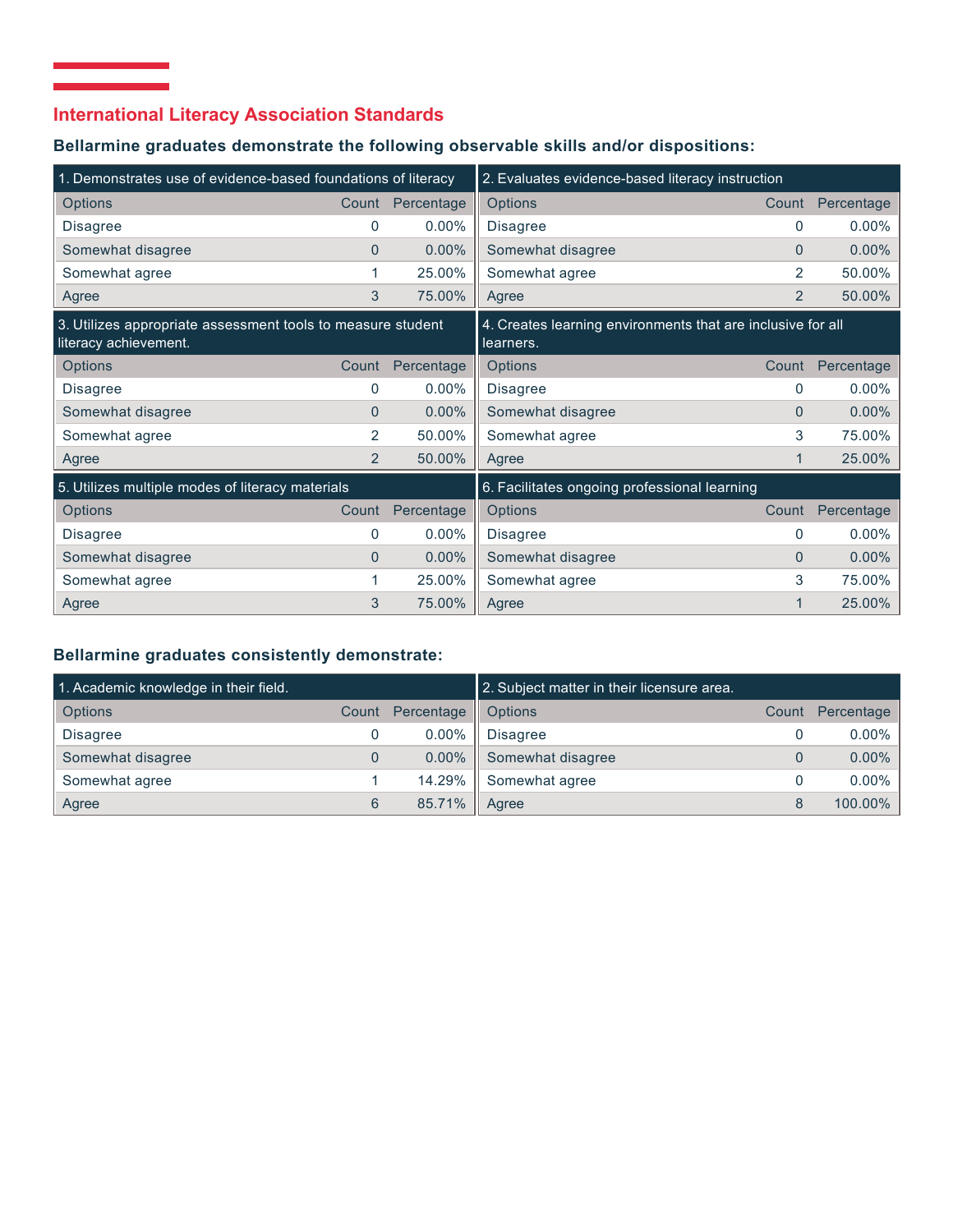# **International Literacy Association Standards**

 $\mathcal{L}_{\mathcal{A}}$  and  $\mathcal{L}_{\mathcal{A}}$  are the set of the set of the set of the set of  $\mathcal{A}$ 

### **Bellarmine graduates demonstrate the following observable skills and/or dispositions:**

| 1. Demonstrates use of evidence-based foundations of literacy                        |                |            | 2. Evaluates evidence-based literacy instruction                         |                |            |
|--------------------------------------------------------------------------------------|----------------|------------|--------------------------------------------------------------------------|----------------|------------|
| Options                                                                              | Count          | Percentage | Options                                                                  | Count          | Percentage |
| <b>Disagree</b>                                                                      | $\Omega$       | $0.00\%$   | <b>Disagree</b>                                                          | 0              | 0.00%      |
| Somewhat disagree                                                                    | $\Omega$       | $0.00\%$   | Somewhat disagree                                                        | $\Omega$       | 0.00%      |
| Somewhat agree                                                                       | 1              | 25.00%     | Somewhat agree                                                           | 2              | 50.00%     |
| Agree                                                                                | 3              | 75.00%     | Agree                                                                    | $\overline{2}$ | 50.00%     |
| 3. Utilizes appropriate assessment tools to measure student<br>literacy achievement. |                |            | 4. Creates learning environments that are inclusive for all<br>learners. |                |            |
| <b>Options</b>                                                                       | Count          | Percentage | Options                                                                  | Count          | Percentage |
| <b>Disagree</b>                                                                      | 0              | $0.00\%$   | <b>Disagree</b>                                                          | 0              | 0.00%      |
| Somewhat disagree                                                                    | $\Omega$       | $0.00\%$   | Somewhat disagree                                                        | $\Omega$       | 0.00%      |
| Somewhat agree                                                                       | 2              | 50.00%     | Somewhat agree                                                           | 3              | 75.00%     |
| Agree                                                                                | $\overline{2}$ | 50.00%     | Agree                                                                    |                | 25.00%     |
| 5. Utilizes multiple modes of literacy materials                                     |                |            | 6. Facilitates ongoing professional learning                             |                |            |
| <b>Options</b>                                                                       | Count          | Percentage | Options                                                                  | Count          | Percentage |
| <b>Disagree</b>                                                                      | 0              | $0.00\%$   | <b>Disagree</b>                                                          | 0              | 0.00%      |
| Somewhat disagree                                                                    | $\Omega$       | $0.00\%$   | Somewhat disagree                                                        | $\Omega$       | 0.00%      |
| Somewhat agree                                                                       |                | 25.00%     | Somewhat agree                                                           | 3              | 75.00%     |
| Agree                                                                                | 3              | 75.00%     | Agree                                                                    |                | 25.00%     |

### **Bellarmine graduates consistently demonstrate:**

| 1. Academic knowledge in their field. |       |            | 2. Subject matter in their licensure area. |       |            |
|---------------------------------------|-------|------------|--------------------------------------------|-------|------------|
| <b>Options</b>                        | Count | Percentage | Options                                    | Count | Percentage |
| Disagree                              | U     | $0.00\%$   | <b>Disagree</b>                            |       | $0.00\%$   |
| Somewhat disagree                     | 0     | $0.00\%$   | Somewhat disagree                          |       | 0.00%      |
| Somewhat agree                        |       | 14.29%     | Somewhat agree                             |       | $0.00\%$   |
| Agree                                 | 6     | 85.71%     | Agree                                      |       | 100.00%    |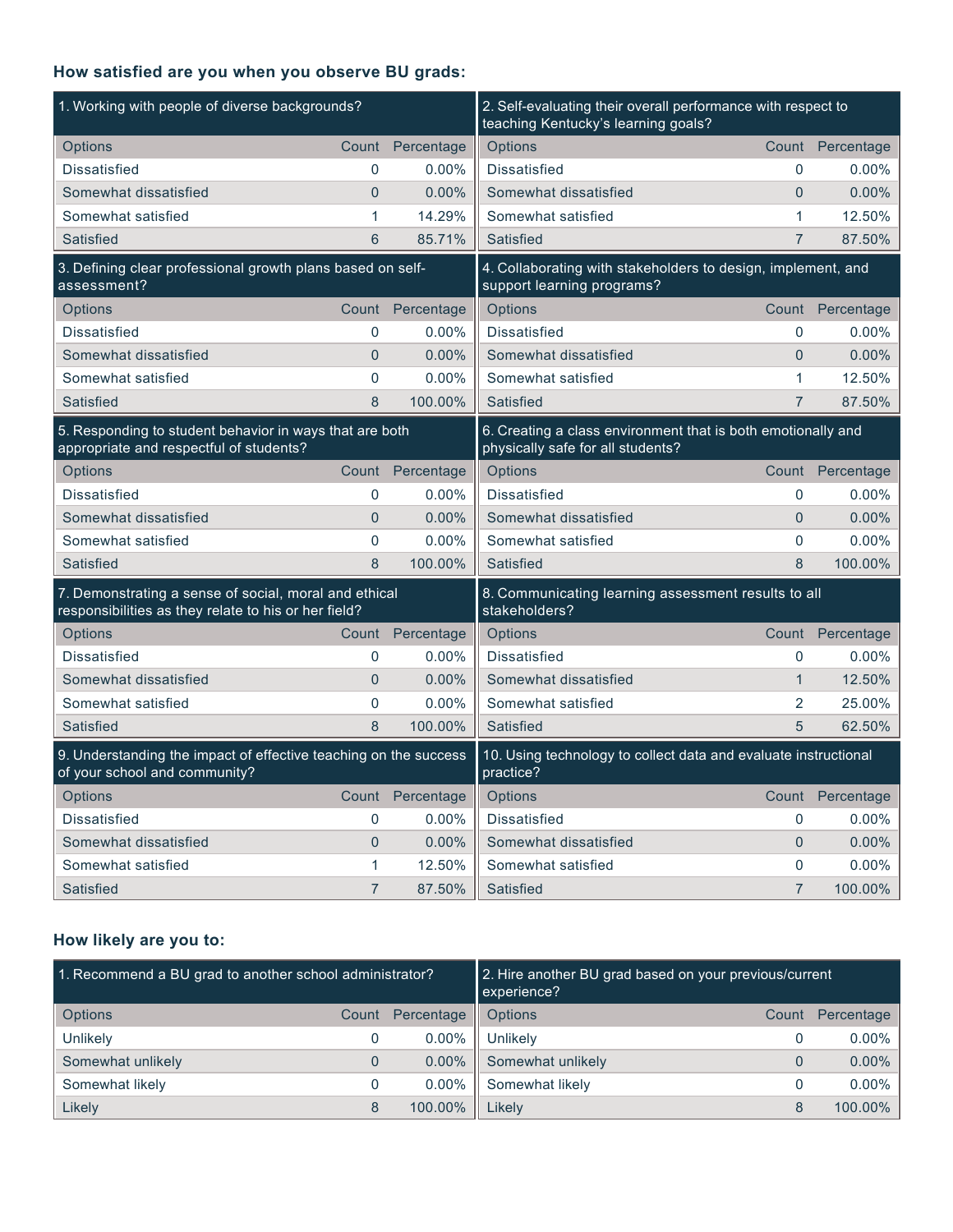## **How satisfied are you when you observe BU grads:**

| 1. Working with people of diverse backgrounds?                                                                |                |                  | 2. Self-evaluating their overall performance with respect to<br>teaching Kentucky's learning goals? |                |                  |
|---------------------------------------------------------------------------------------------------------------|----------------|------------------|-----------------------------------------------------------------------------------------------------|----------------|------------------|
| Options                                                                                                       |                | Count Percentage | Options                                                                                             |                | Count Percentage |
| <b>Dissatisfied</b>                                                                                           | 0              | $0.00\%$         | <b>Dissatisfied</b>                                                                                 | 0              | $0.00\%$         |
| Somewhat dissatisfied                                                                                         | $\overline{0}$ | 0.00%            | Somewhat dissatisfied                                                                               | $\overline{0}$ | 0.00%            |
| Somewhat satisfied                                                                                            | 1              | 14.29%           | Somewhat satisfied                                                                                  | 1              | 12.50%           |
| Satisfied                                                                                                     | 6              | 85.71%           | Satisfied                                                                                           | $\overline{7}$ | 87.50%           |
| 3. Defining clear professional growth plans based on self-<br>assessment?                                     |                |                  | 4. Collaborating with stakeholders to design, implement, and<br>support learning programs?          |                |                  |
| Options                                                                                                       |                | Count Percentage | Options                                                                                             |                | Count Percentage |
| <b>Dissatisfied</b>                                                                                           | 0              | $0.00\%$         | <b>Dissatisfied</b>                                                                                 | $\mathbf{0}$   | $0.00\%$         |
| Somewhat dissatisfied                                                                                         | $\overline{0}$ | 0.00%            | Somewhat dissatisfied                                                                               | $\overline{0}$ | 0.00%            |
| Somewhat satisfied                                                                                            | 0              | 0.00%            | Somewhat satisfied                                                                                  | 1              | 12.50%           |
| Satisfied                                                                                                     | 8              | 100.00%          | Satisfied                                                                                           | $\overline{7}$ | 87.50%           |
| 5. Responding to student behavior in ways that are both<br>appropriate and respectful of students?            |                |                  | 6. Creating a class environment that is both emotionally and<br>physically safe for all students?   |                |                  |
| Options                                                                                                       |                | Count Percentage | Options                                                                                             |                | Count Percentage |
| <b>Dissatisfied</b>                                                                                           | 0              | $0.00\%$         | <b>Dissatisfied</b>                                                                                 | $\Omega$       | $0.00\%$         |
| Somewhat dissatisfied                                                                                         | $\overline{0}$ | 0.00%            | Somewhat dissatisfied                                                                               | $\overline{0}$ | 0.00%            |
| Somewhat satisfied                                                                                            | 0              | 0.00%            | Somewhat satisfied                                                                                  | $\Omega$       | $0.00\%$         |
| Satisfied                                                                                                     | 8              | 100.00%          | Satisfied                                                                                           | 8              | 100.00%          |
| 7. Demonstrating a sense of social, moral and ethical<br>responsibilities as they relate to his or her field? |                |                  | 8. Communicating learning assessment results to all<br>stakeholders?                                |                |                  |
| Options                                                                                                       | Count          | Percentage       | Options                                                                                             | Count          | Percentage       |
| Dissatisfied                                                                                                  | 0              | $0.00\%$         | <b>Dissatisfied</b>                                                                                 | $\Omega$       | $0.00\%$         |
| Somewhat dissatisfied                                                                                         | $\overline{0}$ | 0.00%            | Somewhat dissatisfied                                                                               | $\mathbf{1}$   | 12.50%           |
| Somewhat satisfied                                                                                            | 0              | 0.00%            | Somewhat satisfied                                                                                  | $\overline{2}$ | 25.00%           |
| <b>Satisfied</b>                                                                                              | 8              | 100.00%          | Satisfied                                                                                           | 5              | 62.50%           |
| 9. Understanding the impact of effective teaching on the success<br>of your school and community?             |                |                  | 10. Using technology to collect data and evaluate instructional<br>practice?                        |                |                  |
| Options                                                                                                       | Count          | Percentage       | Options                                                                                             | Count          | Percentage       |
| Dissatisfied                                                                                                  | 0              | $0.00\%$         | <b>Dissatisfied</b>                                                                                 | $\Omega$       | $0.00\%$         |
| Somewhat dissatisfied                                                                                         | $\overline{0}$ | 0.00%            | Somewhat dissatisfied                                                                               | $\Omega$       | 0.00%            |
| Somewhat satisfied                                                                                            | 1              | 12.50%           | Somewhat satisfied                                                                                  | $\Omega$       | 0.00%            |
| <b>Satisfied</b>                                                                                              | $\overline{7}$ | 87.50%           | Satisfied                                                                                           | $\overline{7}$ | 100.00%          |

## **How likely are you to:**

| 1. Recommend a BU grad to another school administrator? |       |            | 2. Hire another BU grad based on your previous/current<br>experience? |       |            |
|---------------------------------------------------------|-------|------------|-----------------------------------------------------------------------|-------|------------|
| <b>Options</b>                                          | Count | Percentage | Options                                                               | Count | Percentage |
| Unlikely                                                | 0     | $0.00\%$   | Unlikely                                                              |       | $0.00\%$   |
| Somewhat unlikely                                       | 0     | $0.00\%$   | Somewhat unlikely                                                     |       | $0.00\%$   |
| Somewhat likely                                         | 0     | $0.00\%$   | Somewhat likely                                                       |       | $0.00\%$   |
| Likely                                                  | 8     | 100.00%    | Likely                                                                | 8     | 100.00%    |